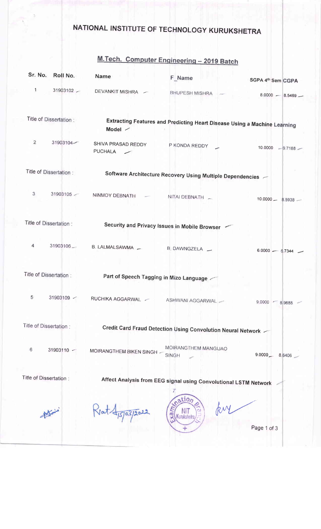## NATIONAL INSTITUTE OF TECHNOLOGY KURUKSHETRA

## M.Tech. Computer Engineering - 2019 Batch

| Sr. No.        | Roll No.                | Name                          | F Name                                                                    | SGPA 4th Sem CGPA    |
|----------------|-------------------------|-------------------------------|---------------------------------------------------------------------------|----------------------|
| $\mathbf{1}$   | 31903102                | DEVANKIT MISHRA -             | <b>BHUPESH MISHRA</b>                                                     | $8.0000 - 8.5469 -$  |
|                | Title of Dissertation:  | Model /                       | Extracting Features and Predicting Heart Disease Using a Machine Learning |                      |
| $\overline{2}$ | 31903104-               | SHIVA PRASAD REDDY<br>PUCHALA | P KONDA REDDY                                                             | 10.0000 -9.7188 -    |
|                | Title of Dissertation:  |                               | Software Architecture Recovery Using Multiple Dependencies -              |                      |
| 3              | 31903105                | NINMOY DEBNATH                | NITAI DEBNATH                                                             | $10,0000 - 8.5938 -$ |
|                | Title of Dissertation:  |                               | Security and Privacy Issues in Mobile Browser                             |                      |
| 4              | 31903106                | B. LALMALSAWMA -              | B. DAWNGZELA -                                                            | $6.0000 - 6.7344$    |
|                | Title of Dissertation:  |                               | Part of Speech Tagging in Mizo Language                                   |                      |
| 5              | 31903109 $\sim$         | RUCHIKA AGGARWAL -            | ASHWANI AGGARWAL                                                          | $9.0000 - 8.9688 -$  |
|                | Title of Dissertation:  |                               | Credit Card Fraud Detection Using Convolution Neural Network              |                      |
| 6              | 31903110 ~              | MOIRANGTHEM BIKEN SINGH -     | MOIRANGTHEM MANGIJAO<br><b>SINGH</b>                                      | $9.0000 -$<br>8.6406 |
|                | Title of Dissertation : |                               | Affect Analysis from EEG signal using Convolutional LSTM Network          |                      |
|                |                         |                               | ation<br>æ<br>Kurukshetra                                                 | Page 1 of 3          |
|                |                         |                               |                                                                           |                      |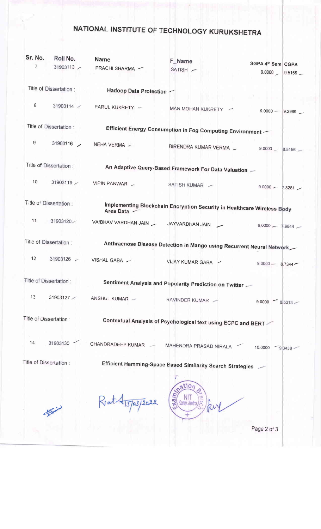## NATIONAL INSTITUTE OF TECHNOLOGY KURUKSHETRA

| Sr. No.                 | Roll No.               | <b>Name</b>                                                   | <b>F_Name</b>                                                           |                                             |  |  |
|-------------------------|------------------------|---------------------------------------------------------------|-------------------------------------------------------------------------|---------------------------------------------|--|--|
| $\overline{7}$          |                        | 31903113 / PRACHI SHARMA /                                    | SATISH                                                                  | SGPA 4th Sem CGPA<br>9.0000<br>$9.5156$ $-$ |  |  |
|                         | Title of Dissertation: | Hadoop Data Protection -                                      |                                                                         |                                             |  |  |
| 8                       |                        | 31903114 - PARUL KUKRETY - MAN MOHAN KUKRETY -                |                                                                         | $9.0000 - 9.2969$                           |  |  |
|                         | Title of Dissertation: |                                                               | Efficient Energy Consumption in Fog Computing Environment               |                                             |  |  |
| 9                       |                        |                                                               | 31903116 / NEHA VERMA / BIRENDRA KUMAR VERMA / 9.0000 8.5156 /          |                                             |  |  |
|                         |                        |                                                               |                                                                         |                                             |  |  |
| Title of Dissertation : |                        | An Adaptive Query-Based Framework For Data Valuation -        |                                                                         |                                             |  |  |
| 10                      |                        | 31903119 / VIPIN PANWAR                                       | SATISH KUMAR /                                                          | $9.0000 - 7.8281$                           |  |  |
|                         | Title of Dissertation: | Area Data -                                                   | Implementing Blockchain Encryption Security in Healthcare Wireless Body |                                             |  |  |
| 11                      | 31903120               | VAIBHAV VARDHAN JAIN __ JAYVARDHAN JAIN __                    |                                                                         | $6.0000 - 7.9844$                           |  |  |
|                         | Title of Dissertation: |                                                               | Anthracnose Disease Detection in Mango using Recurrent Neural Network   |                                             |  |  |
| 12                      |                        | 31903126 / VISHAL GABA /                                      | VIJAY KUMAR GABA -                                                      | $9.0000 - 8.7344 -$                         |  |  |
| Title of Dissertation:  |                        |                                                               | Sentiment Analysis and Popularity Prediction on Twitter                 |                                             |  |  |
| 13                      | 31903127               | ANSHUL KUMAR                                                  | RAVINDER KUMAR                                                          | 9.0000<br>$8,5313 -$                        |  |  |
| Title of Dissertation : |                        | Contextual Analysis of Psychological text using ECPC and BERT |                                                                         |                                             |  |  |
| 14                      | 31903130               | CHANDRADEEP KUMAR                                             | MAHENDRA PRASAD NIRALA                                                  | 10.0000<br>9.3438                           |  |  |
| Title of Dissertation : |                        | Efficient Hamming-Space Based Similarity Search Strategies    |                                                                         |                                             |  |  |
|                         |                        |                                                               | atio,<br>unikshet                                                       |                                             |  |  |
|                         |                        |                                                               |                                                                         | Page 2 of 3                                 |  |  |